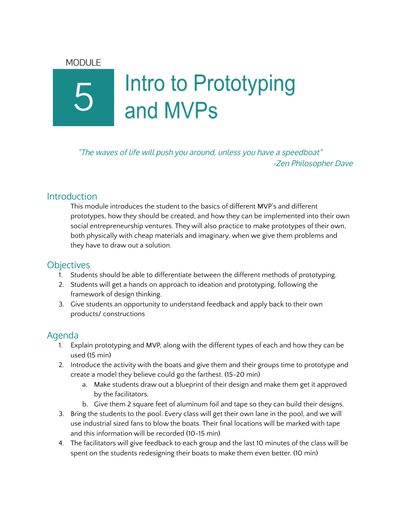#### **MODULE**

# Intro to Prototyping and MVPs

"The waves of life will push you around, unless you have a speedboat" -Zen Philosopher Dave

### **Introduction**

This module introduces the student to the basics of different MVP's and different prototypes, how they should be created, and how they can be implemented into their own social entrepreneurship ventures. They will also practice to make prototypes of their own, both physically with cheap materials and imaginary, when we give them problems and they have to draw out a solution.

# **Objectives**

- 1. Students should be able to differentiate between the different methods of prototyping.
- 2. Students will get a hands on approach to ideation and prototyping, following the framework of design thinking.
- 3. Give students an opportunity to understand feedback and apply back to their own products/ constructions

# Agenda

- 1. Explain prototyping and MVP, along with the different types of each and how they can be used (15 min)
- 2. Introduce the activity with the boats and give them and their groups time to prototype and create a model they believe could go the farthest. (15-20 min)
	- a. Make students draw out a blueprint of their design and make them get it approved by the facilitators.
	- b. Give them 2 square feet of aluminum foil and tape so they can build their designs.
- 3. Bring the students to the pool. Every class will get their own lane in the pool, and we will use industrial sized fans to blow the boats. Their final locations will be marked with tape and this information will be recorded (10-15 min)
- 4. The facilitators will give feedback to each group and the last 10 minutes of the class will be spent on the students redesigning their boats to make them even better. (10 min)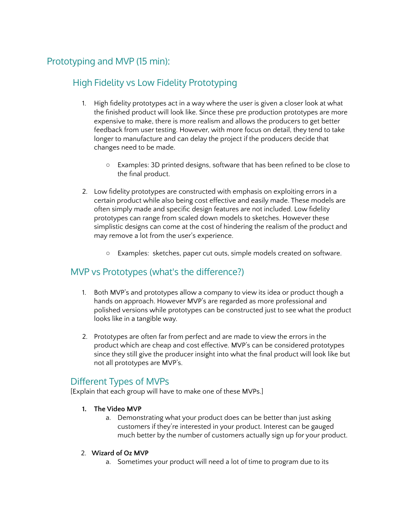# Prototyping and MVP (15 min):

# High Fidelity vs Low Fidelity Prototyping

- 1. High fidelity prototypes act in a way where the user is given a closer look at what the finished product will look like. Since these pre production prototypes are more expensive to make, there is more realism and allows the producers to get better feedback from user testing. However, with more focus on detail, they tend to take longer to manufacture and can delay the project if the producers decide that changes need to be made.
	- Examples: 3D printed designs, software that has been refined to be close to the final product.
- 2. Low fidelity prototypes are constructed with emphasis on exploiting errors in a certain product while also being cost effective and easily made. These models are often simply made and specific design features are not included. Low fidelity prototypes can range from scaled down models to sketches. However these simplistic designs can come at the cost of hindering the realism of the product and may remove a lot from the user's experience.
	- Examples: sketches, paper cut outs, simple models created on software.

## MVP vs Prototypes (what's the difference?)

- 1. Both MVP's and prototypes allow a company to view its idea or product though a hands on approach. However MVP's are regarded as more professional and polished versions while prototypes can be constructed just to see what the product looks like in a tangible way.
- 2. Prototypes are often far from perfect and are made to view the errors in the product which are cheap and cost effective. MVP's can be considered prototypes since they still give the producer insight into what the final product will look like but not all prototypes are MVP's.

## Different Types of MVPs

[Explain that each group will have to make one of these MVPs.]

- **1. The Video MVP**
	- a. Demonstrating what your product does can be better than just asking customers if they're interested in your product. Interest can be gauged much better by the number of customers actually sign up for your product.

#### 2. **Wizard of Oz MVP**

a. Sometimes your product will need a lot of time to program due to its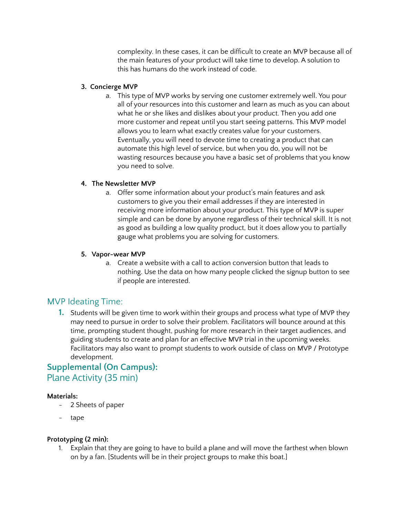complexity. In these cases, it can be difficult to create an MVP because all of the main features of your product will take time to develop. A solution to this has humans do the work instead of code.

#### **3. Concierge MVP**

a. This type of MVP works by serving one customer extremely well. You pour all of your resources into this customer and learn as much as you can about what he or she likes and dislikes about your product. Then you add one more customer and repeat until you start seeing patterns. This MVP model allows you to learn what exactly creates value for your customers. Eventually, you will need to devote time to creating a product that can automate this high level of service, but when you do, you will not be wasting resources because you have a basic set of problems that you know you need to solve.

#### **4. The Newsletter MVP**

a. Offer some information about your product's main features and ask customers to give you their email addresses if they are interested in receiving more information about your product. This type of MVP is super simple and can be done by anyone regardless of their technical skill. It is not as good as building a low quality product, but it does allow you to partially gauge what problems you are solving for customers.

#### **5. Vapor-wear MVP**

a. Create a website with a call to action conversion button that leads to nothing. Use the data on how many people clicked the signup button to see if people are interested.

## MVP Ideating Time:

**1.** Students will be given time to work within their groups and process what type of MVP they may need to pursue in order to solve their problem. Facilitators will bounce around at this time, prompting student thought, pushing for more research in their target audiences, and guiding students to create and plan for an effective MVP trial in the upcoming weeks. Facilitators may also want to prompt students to work outside of class on MVP / Prototype development.

## **Supplemental (On Campus):** Plane Activity (35 min)

#### **Materials:**

- 2 Sheets of paper
- tape

#### **Prototyping (2 min):**

1. Explain that they are going to have to build a plane and will move the farthest when blown on by a fan. [Students will be in their project groups to make this boat.]